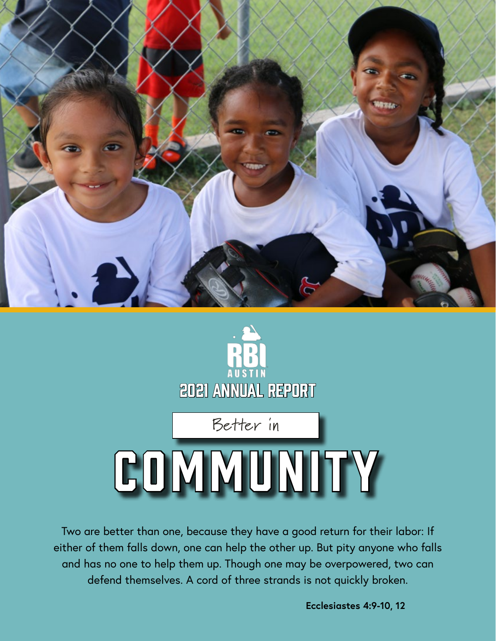



Two are better than one, because they have a good return for their labor: If either of them falls down, one can help the other up. But pity anyone who falls and has no one to help them up. Though one may be overpowered, two can defend themselves. A cord of three strands is not quickly broken.

**Ecclesiastes 4:9-10, 12**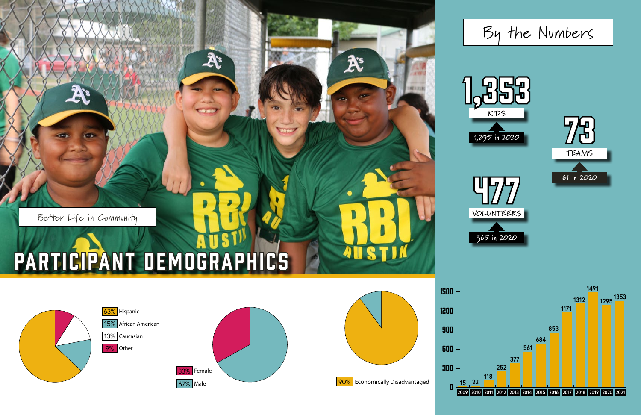



 $\mathcal{X}$ 

X

**AUSTI** 



## By the Numbers

Better Life in Community

A

**CETT** 

# PARTICIPANT DEMOGRAPHICS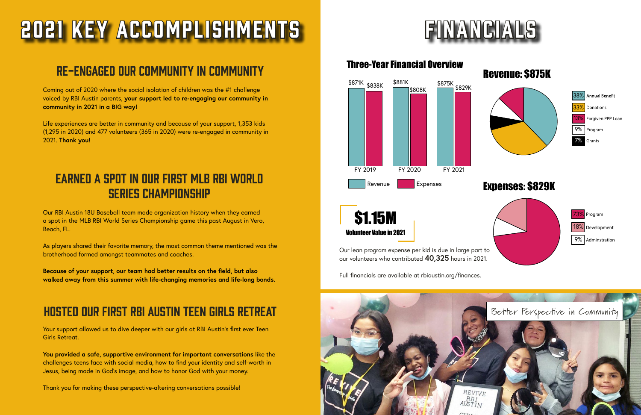# 2021 Key Accomplishments

#### Re-engaged our community in community

Coming out of 2020 where the social isolation of children was the #1 challenge voiced by RBI Austin parents, **your support led to re-engaging our community in community in 2021 in a BIG way!**

Life experiences are better in community and because of your support, 1,353 kids (1,295 in 2020) and 477 volunteers (365 in 2020) were re-engaged in community in 2021. **Thank you!**

### Earned a spot in our First MLB RBI World Series Championship

Our RBI Austin 18U Baseball team made organization history when they earned a spot in the MLB RBI World Series Championship game this past August in Vero, Beach, FL.

As players shared their favorite memory, the most common theme mentioned was the brotherhood formed amongst teammates and coaches.

**Because of your support, our team had better results on the field, but also walked away from this summer with life-changing memories and life-long bonds.** 

### Hosted our First RBI Austin Teen Girls Retreat

Your support allowed us to dive deeper with our girls at RBI Austin's first ever Teen Girls Retreat.

**You provided a safe, supportive environment for important conversations** like the challenges teens face with social media, how to find your identity and self-worth in Jesus, being made in God's image, and how to honor God with your money.

Thank you for making these perspective-altering conversations possible!



\$1.15M Volunteer Value in 2021

Our lean program expense per kid is due in large part to our volunteers who contributed **40,325** hours in 2021.

Full financials are available at rbiaustin.org/finances.





#### Three-Year Financial Overview



#### Expenses: \$829K



#### Revenue: \$875K



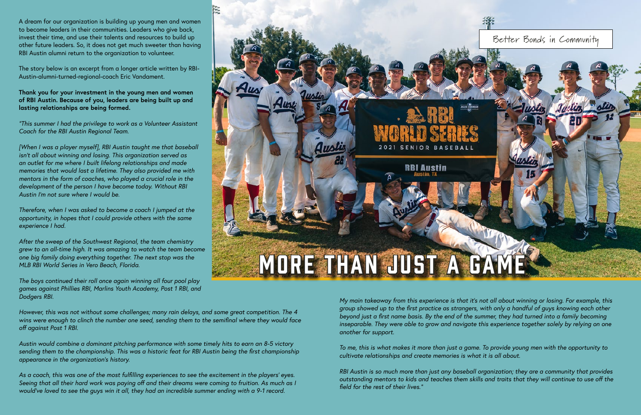A dream for our organization is building up young men and women to become leaders in their communities. Leaders who give back, invest their time, and use their talents and resources to build up other future leaders. So, it does not get much sweeter than having RBI Austin alumni return to the organization to volunteer.

The story below is an excerpt from a longer article written by RBI-Austin-alumni-turned-regional-coach Eric Vandament.

**Thank you for your investment in the young men and women of RBI Austin. Because of you, leaders are being built up and lasting relationships are being formed.**

*"This summer I had the privilege to work as a Volunteer Assistant Coach for the RBI Austin Regional Team.* 

*[When I was a player myself], RBI Austin taught me that baseball isn't all about winning and losing. This organization served as an outlet for me where I built lifelong relationships and made memories that would last a lifetime. They also provided me with mentors in the form of coaches, who played a crucial role in the development of the person I have become today. Without RBI Austin I'm not sure where I would be.* 

*As a coach, this was one of the most fulfilling experiences to see the excitement in the players' eyes. Seeing that all their hard work was paying off and their dreams were coming to fruition. As much as I*  would've loved to see the guys win it all, they had an incredible summer ending with a 9-1 record.

*Therefore, when I was asked to become a coach I jumped at the opportunity, in hopes that I could provide others with the same experience I had.*

*After the sweep of the Southwest Regional, the team chemistry grew to an all-time high. It was amazing to watch the team become one big family doing everything together. The next stop was the MLB RBI World Series in Vero Beach, Florida.* 

*The boys continued their roll once again winning all four pool play games against Phillies RBI, Marlins Youth Academy, Post 1 RBI, and Dodgers RBI.* 

*However, this was not without some challenges; many rain delays, and some great competition. The 4 wins were enough to clinch the number one seed, sending them to the semifinal where they would face off against Post 1 RBI.* 

*Austin would combine a dominant pitching performance with some timely hits to earn an 8-5 victory sending them to the championship. This was a historic feat for RBI Austin being the first championship appearance in the organization's history.* 

*My main takeaway from this experience is that it's not all about winning or losing. For example, this group showed up to the first practice as strangers, with only a handful of guys knowing each other beyond just a first name basis. By the end of the summer, they had turned into a family becoming inseparable. They were able to grow and navigate this experience together solely by relying on one another for support.* 

*To me, this is what makes it more than just a game. To provide young men with the opportunity to cultivate relationships and create memories is what it is all about.* 

*RBI Austin is so much more than just any baseball organization; they are a community that provides outstanding mentors to kids and teaches them skills and traits that they will continue to use off the field for the rest of their lives."*